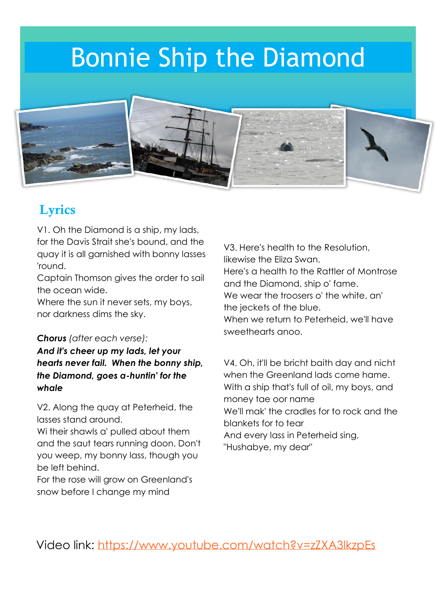# Bonnie Ship the Diamond



#### Lyrics

V1. Oh the Diamond is a ship, my lads, for the Davis Strait she's bound, and the quay it is all garnished with bonny lasses 'round.

Captain Thomson gives the order to sail the ocean wide.

Where the sun it never sets, my boys, nor darkness dims the sky.

#### *Chorus (after each verse):*

*And it's cheer up my lads, let your hearts never fail. When the bonny ship, the Diamond, goes a-huntin' for the whale* 

V2. Along the quay at Peterheid, the lasses stand around.

Wi their shawls a' pulled about them and the saut tears running doon. Don't you weep, my bonny lass, though you be left behind.

For the rose will grow on Greenland's snow before I change my mind

V3. Here's health to the Resolution, likewise the Eliza Swan. Here's a health to the Rattler of Montrose and the Diamond, ship o' fame. We wear the troosers o' the white, an' the jeckets of the blue. When we return to Peterheid, we'll have sweethearts anoo.

V4. Oh, it'll be bricht baith day and nicht when the Greenland lads come hame. With a ship that's full of oil, my boys, and money tae oor name We'll mak' the cradles for to rock and the blankets for to tear And every lass in Peterheid sing, "Hushabye, my dear"

Video link:<https://www.youtube.com/watch?v=zZXA3lkzpEs>